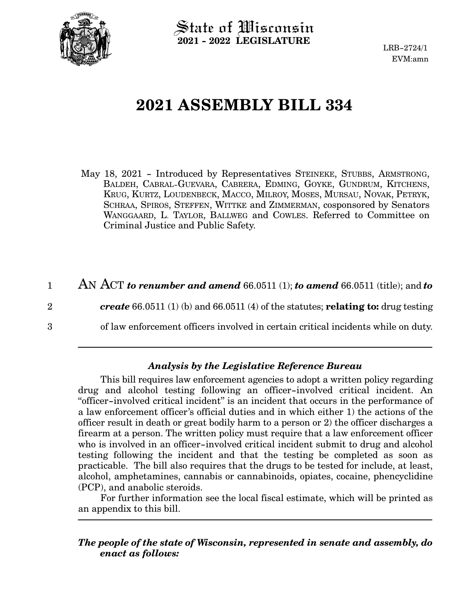

 $\operatorname{\mathsf{State}}$  of Wisconsin **2021 - 2022 LEGISLATURE**

LRB-2724/1 EVM:amn

# **2021 ASSEMBLY BILL 334**

May 18, 2021 - Introduced by Representatives STEINEKE, STUBBS, ARMSTRONG, BALDEH, CABRAL-GUEVARA, CABRERA, EDMING, GOYKE, GUNDRUM, KITCHENS, KRUG, KURTZ, LOUDENBECK, MACCO, MILROY, MOSES, MURSAU, NOVAK, PETRYK, SCHRAA, SPIROS, STEFFEN, WITTKE and ZIMMERMAN, cosponsored by Senators WANGGAARD, L. TAYLOR, BALLWEG and COWLES. Referred to Committee on Criminal Justice and Public Safety.

AN ACT *to renumber and amend* 66.0511 (1); *to amend* 66.0511 (title); and *to create* 66.0511 (1) (b) and 66.0511 (4) of the statutes; **relating to:** drug testing of law enforcement officers involved in certain critical incidents while on duty. 1 2 3

#### *Analysis by the Legislative Reference Bureau*

This bill requires law enforcement agencies to adopt a written policy regarding drug and alcohol testing following an officer-involved critical incident. An "officer-involved critical incident" is an incident that occurs in the performance of a law enforcement officer's official duties and in which either 1) the actions of the officer result in death or great bodily harm to a person or 2) the officer discharges a firearm at a person. The written policy must require that a law enforcement officer who is involved in an officer-involved critical incident submit to drug and alcohol testing following the incident and that the testing be completed as soon as practicable. The bill also requires that the drugs to be tested for include, at least, alcohol, amphetamines, cannabis or cannabinoids, opiates, cocaine, phencyclidine (PCP), and anabolic steroids.

For further information see the local fiscal estimate, which will be printed as an appendix to this bill.

#### *The people of the state of Wisconsin, represented in senate and assembly, do enact as follows:*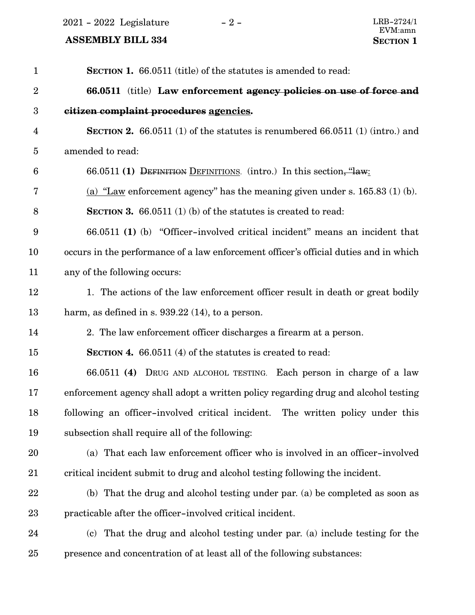$2021 - 2022$  Legislature  $-2 -$  LRB-2724/1

EVM:amn<br>SECTION 1

## **ASSEMBLY BILL 334**

| $\mathbf{1}$            | <b>SECTION 1.</b> 66.0511 (title) of the statutes is amended to read:                 |
|-------------------------|---------------------------------------------------------------------------------------|
| $\sqrt{2}$              | 66.0511 (title) Law enforcement agency policies on use of force and                   |
| $\boldsymbol{3}$        | citizen complaint procedures agencies.                                                |
| $\overline{\mathbf{4}}$ | <b>SECTION 2.</b> 66.0511 (1) of the statutes is renumbered 66.0511 (1) (intro.) and  |
| $\bf 5$                 | amended to read:                                                                      |
| $6\phantom{.}6$         | 66.0511 (1) DEFINITION DEFINITIONS. (intro.) In this section, "law:                   |
| 7                       | (a) "Law enforcement agency" has the meaning given under s. $165.83$ (1) (b).         |
| 8                       | <b>SECTION 3.</b> 66.0511 (1) (b) of the statutes is created to read:                 |
| 9                       | 66.0511 (1) (b) "Officer-involved critical incident" means an incident that           |
| 10                      | occurs in the performance of a law enforcement officer's official duties and in which |
| 11                      | any of the following occurs:                                                          |
| 12                      | 1. The actions of the law enforcement officer result in death or great bodily         |
| 13                      | harm, as defined in s. $939.22(14)$ , to a person.                                    |
| 14                      | 2. The law enforcement officer discharges a firearm at a person.                      |
| 15                      | <b>SECTION 4.</b> 66.0511 (4) of the statutes is created to read:                     |
| 16                      | 66.0511 (4) DRUG AND ALCOHOL TESTING. Each person in charge of a law                  |
| 17                      | enforcement agency shall adopt a written policy regarding drug and alcohol testing    |
| 18                      | following an officer-involved critical incident. The written policy under this        |
| 19                      | subsection shall require all of the following:                                        |
| 20                      | (a) That each law enforcement officer who is involved in an officer-involved          |
| 21                      | critical incident submit to drug and alcohol testing following the incident.          |
| 22                      | (b) That the drug and alcohol testing under par. (a) be completed as soon as          |
| 23                      | practicable after the officer-involved critical incident.                             |
| 24                      | (c) That the drug and alcohol testing under par. (a) include testing for the          |
| 25                      | presence and concentration of at least all of the following substances:               |
|                         |                                                                                       |